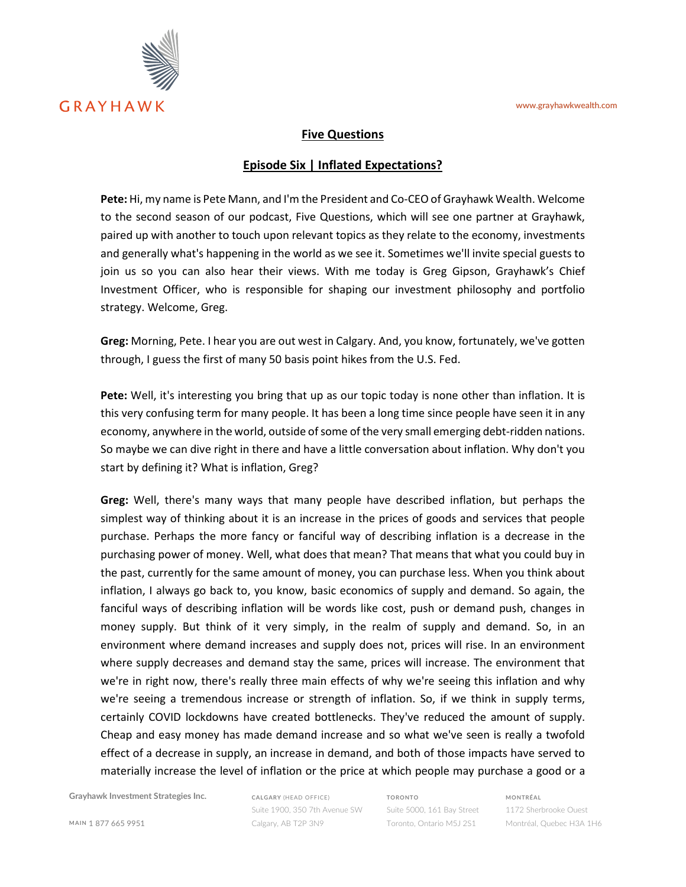

## **Five Questions**

## **Episode Six | Inflated Expectations?**

**Pete:** Hi, my name is Pete Mann, and I'm the President and Co-CEO of Grayhawk Wealth. Welcome to the second season of our podcast, Five Questions, which will see one partner at Grayhawk, paired up with another to touch upon relevant topics as they relate to the economy, investments and generally what's happening in the world as we see it. Sometimes we'll invite special guests to join us so you can also hear their views. With me today is Greg Gipson, Grayhawk's Chief Investment Officer, who is responsible for shaping our investment philosophy and portfolio strategy. Welcome, Greg.

**Greg:** Morning, Pete. I hear you are out west in Calgary. And, you know, fortunately, we've gotten through, I guess the first of many 50 basis point hikes from the U.S. Fed.

**Pete:** Well, it's interesting you bring that up as our topic today is none other than inflation. It is this very confusing term for many people. It has been a long time since people have seen it in any economy, anywhere in the world, outside of some of the very small emerging debt-ridden nations. So maybe we can dive right in there and have a little conversation about inflation. Why don't you start by defining it? What is inflation, Greg?

**Greg:** Well, there's many ways that many people have described inflation, but perhaps the simplest way of thinking about it is an increase in the prices of goods and services that people purchase. Perhaps the more fancy or fanciful way of describing inflation is a decrease in the purchasing power of money. Well, what does that mean? That means that what you could buy in the past, currently for the same amount of money, you can purchase less. When you think about inflation, I always go back to, you know, basic economics of supply and demand. So again, the fanciful ways of describing inflation will be words like cost, push or demand push, changes in money supply. But think of it very simply, in the realm of supply and demand. So, in an environment where demand increases and supply does not, prices will rise. In an environment where supply decreases and demand stay the same, prices will increase. The environment that we're in right now, there's really three main effects of why we're seeing this inflation and why we're seeing a tremendous increase or strength of inflation. So, if we think in supply terms, certainly COVID lockdowns have created bottlenecks. They've reduced the amount of supply. Cheap and easy money has made demand increase and so what we've seen is really a twofold effect of a decrease in supply, an increase in demand, and both of those impacts have served to materially increase the level of inflation or the price at which people may purchase a good or a

**Grayhawk Investment Strategies Inc.**

**CALGARY** (HEAD OFFICE) Suite 1900, 350 7th Avenue SW Calgary, AB T2P 3N9

**TORONTO** Suite 5000, 161 Bay Street Toronto, Ontario M5J 2S1 **MONTRÉAL**

1172 Sherbrooke Ouest Montréal, Quebec H3A 1H6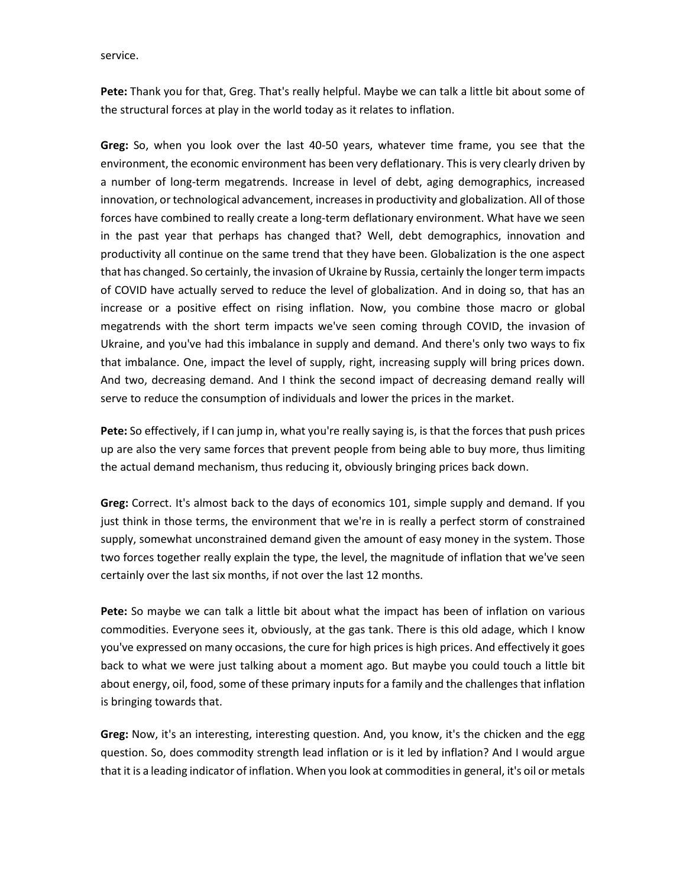service.

**Pete:** Thank you for that, Greg. That's really helpful. Maybe we can talk a little bit about some of the structural forces at play in the world today as it relates to inflation.

**Greg:** So, when you look over the last 40-50 years, whatever time frame, you see that the environment, the economic environment has been very deflationary. This is very clearly driven by a number of long-term megatrends. Increase in level of debt, aging demographics, increased innovation, or technological advancement, increases in productivity and globalization. All of those forces have combined to really create a long-term deflationary environment. What have we seen in the past year that perhaps has changed that? Well, debt demographics, innovation and productivity all continue on the same trend that they have been. Globalization is the one aspect that has changed. So certainly, the invasion of Ukraine by Russia, certainly the longer term impacts of COVID have actually served to reduce the level of globalization. And in doing so, that has an increase or a positive effect on rising inflation. Now, you combine those macro or global megatrends with the short term impacts we've seen coming through COVID, the invasion of Ukraine, and you've had this imbalance in supply and demand. And there's only two ways to fix that imbalance. One, impact the level of supply, right, increasing supply will bring prices down. And two, decreasing demand. And I think the second impact of decreasing demand really will serve to reduce the consumption of individuals and lower the prices in the market.

**Pete:** So effectively, if I can jump in, what you're really saying is, is that the forces that push prices up are also the very same forces that prevent people from being able to buy more, thus limiting the actual demand mechanism, thus reducing it, obviously bringing prices back down.

**Greg:** Correct. It's almost back to the days of economics 101, simple supply and demand. If you just think in those terms, the environment that we're in is really a perfect storm of constrained supply, somewhat unconstrained demand given the amount of easy money in the system. Those two forces together really explain the type, the level, the magnitude of inflation that we've seen certainly over the last six months, if not over the last 12 months.

**Pete:** So maybe we can talk a little bit about what the impact has been of inflation on various commodities. Everyone sees it, obviously, at the gas tank. There is this old adage, which I know you've expressed on many occasions, the cure for high prices is high prices. And effectively it goes back to what we were just talking about a moment ago. But maybe you could touch a little bit about energy, oil, food, some of these primary inputs for a family and the challenges that inflation is bringing towards that.

**Greg:** Now, it's an interesting, interesting question. And, you know, it's the chicken and the egg question. So, does commodity strength lead inflation or is it led by inflation? And I would argue that it is a leading indicator of inflation. When you look at commodities in general, it's oil or metals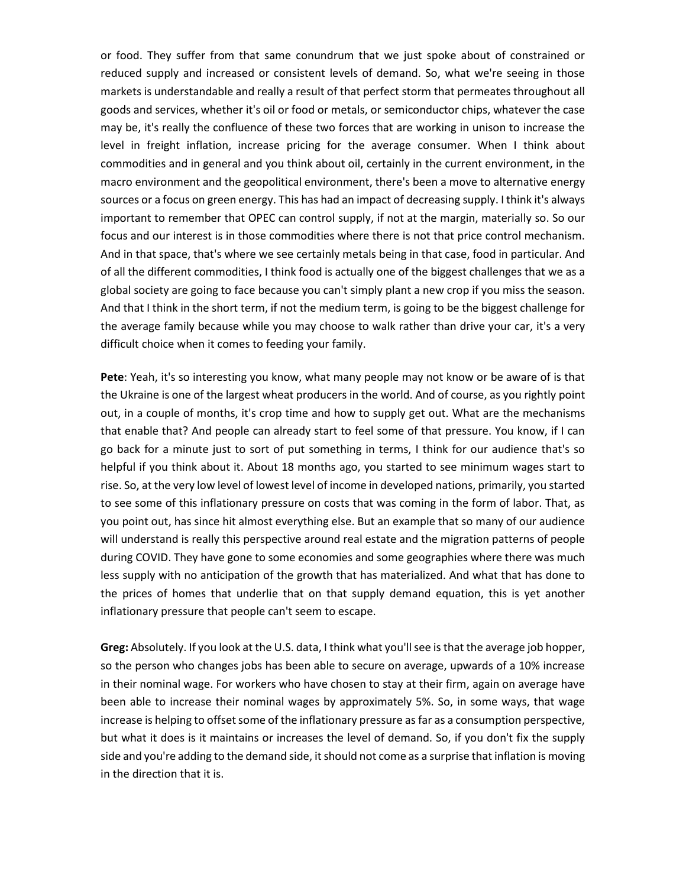or food. They suffer from that same conundrum that we just spoke about of constrained or reduced supply and increased or consistent levels of demand. So, what we're seeing in those markets is understandable and really a result of that perfect storm that permeates throughout all goods and services, whether it's oil or food or metals, or semiconductor chips, whatever the case may be, it's really the confluence of these two forces that are working in unison to increase the level in freight inflation, increase pricing for the average consumer. When I think about commodities and in general and you think about oil, certainly in the current environment, in the macro environment and the geopolitical environment, there's been a move to alternative energy sources or a focus on green energy. This has had an impact of decreasing supply. I think it's always important to remember that OPEC can control supply, if not at the margin, materially so. So our focus and our interest is in those commodities where there is not that price control mechanism. And in that space, that's where we see certainly metals being in that case, food in particular. And of all the different commodities, I think food is actually one of the biggest challenges that we as a global society are going to face because you can't simply plant a new crop if you miss the season. And that I think in the short term, if not the medium term, is going to be the biggest challenge for the average family because while you may choose to walk rather than drive your car, it's a very difficult choice when it comes to feeding your family.

**Pete**: Yeah, it's so interesting you know, what many people may not know or be aware of is that the Ukraine is one of the largest wheat producers in the world. And of course, as you rightly point out, in a couple of months, it's crop time and how to supply get out. What are the mechanisms that enable that? And people can already start to feel some of that pressure. You know, if I can go back for a minute just to sort of put something in terms, I think for our audience that's so helpful if you think about it. About 18 months ago, you started to see minimum wages start to rise. So, at the very low level of lowest level of income in developed nations, primarily, you started to see some of this inflationary pressure on costs that was coming in the form of labor. That, as you point out, has since hit almost everything else. But an example that so many of our audience will understand is really this perspective around real estate and the migration patterns of people during COVID. They have gone to some economies and some geographies where there was much less supply with no anticipation of the growth that has materialized. And what that has done to the prices of homes that underlie that on that supply demand equation, this is yet another inflationary pressure that people can't seem to escape.

**Greg:** Absolutely. If you look at the U.S. data, I think what you'll see is that the average job hopper, so the person who changes jobs has been able to secure on average, upwards of a 10% increase in their nominal wage. For workers who have chosen to stay at their firm, again on average have been able to increase their nominal wages by approximately 5%. So, in some ways, that wage increase is helping to offset some of the inflationary pressure as far as a consumption perspective, but what it does is it maintains or increases the level of demand. So, if you don't fix the supply side and you're adding to the demand side, it should not come as a surprise that inflation is moving in the direction that it is.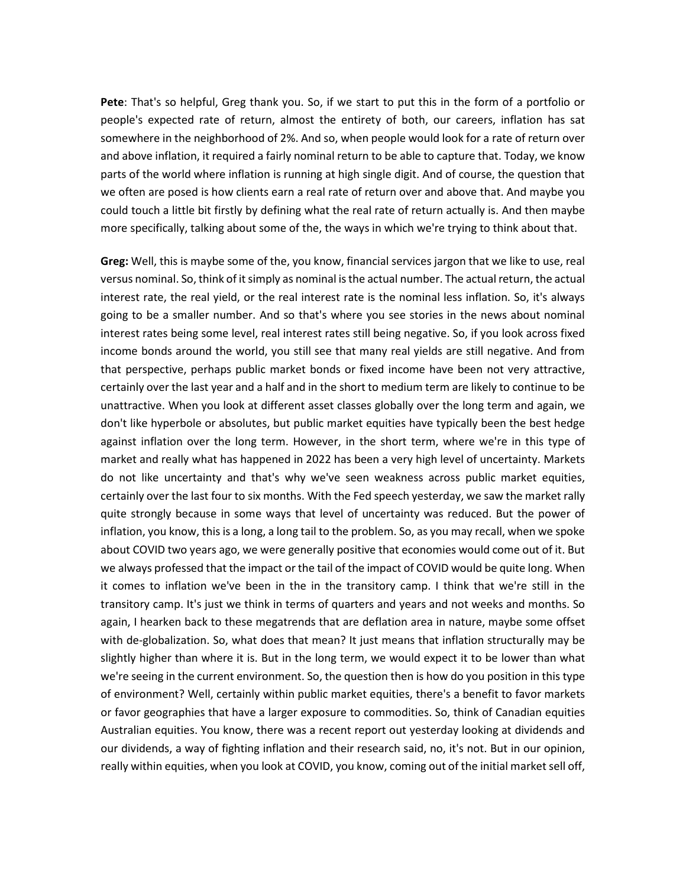**Pete**: That's so helpful, Greg thank you. So, if we start to put this in the form of a portfolio or people's expected rate of return, almost the entirety of both, our careers, inflation has sat somewhere in the neighborhood of 2%. And so, when people would look for a rate of return over and above inflation, it required a fairly nominal return to be able to capture that. Today, we know parts of the world where inflation is running at high single digit. And of course, the question that we often are posed is how clients earn a real rate of return over and above that. And maybe you could touch a little bit firstly by defining what the real rate of return actually is. And then maybe more specifically, talking about some of the, the ways in which we're trying to think about that.

**Greg:** Well, this is maybe some of the, you know, financial services jargon that we like to use, real versus nominal. So, think of it simply as nominal is the actual number. The actual return, the actual interest rate, the real yield, or the real interest rate is the nominal less inflation. So, it's always going to be a smaller number. And so that's where you see stories in the news about nominal interest rates being some level, real interest rates still being negative. So, if you look across fixed income bonds around the world, you still see that many real yields are still negative. And from that perspective, perhaps public market bonds or fixed income have been not very attractive, certainly over the last year and a half and in the short to medium term are likely to continue to be unattractive. When you look at different asset classes globally over the long term and again, we don't like hyperbole or absolutes, but public market equities have typically been the best hedge against inflation over the long term. However, in the short term, where we're in this type of market and really what has happened in 2022 has been a very high level of uncertainty. Markets do not like uncertainty and that's why we've seen weakness across public market equities, certainly over the last four to six months. With the Fed speech yesterday, we saw the market rally quite strongly because in some ways that level of uncertainty was reduced. But the power of inflation, you know, this is a long, a long tail to the problem. So, as you may recall, when we spoke about COVID two years ago, we were generally positive that economies would come out of it. But we always professed that the impact or the tail of the impact of COVID would be quite long. When it comes to inflation we've been in the in the transitory camp. I think that we're still in the transitory camp. It's just we think in terms of quarters and years and not weeks and months. So again, I hearken back to these megatrends that are deflation area in nature, maybe some offset with de-globalization. So, what does that mean? It just means that inflation structurally may be slightly higher than where it is. But in the long term, we would expect it to be lower than what we're seeing in the current environment. So, the question then is how do you position in this type of environment? Well, certainly within public market equities, there's a benefit to favor markets or favor geographies that have a larger exposure to commodities. So, think of Canadian equities Australian equities. You know, there was a recent report out yesterday looking at dividends and our dividends, a way of fighting inflation and their research said, no, it's not. But in our opinion, really within equities, when you look at COVID, you know, coming out of the initial market sell off,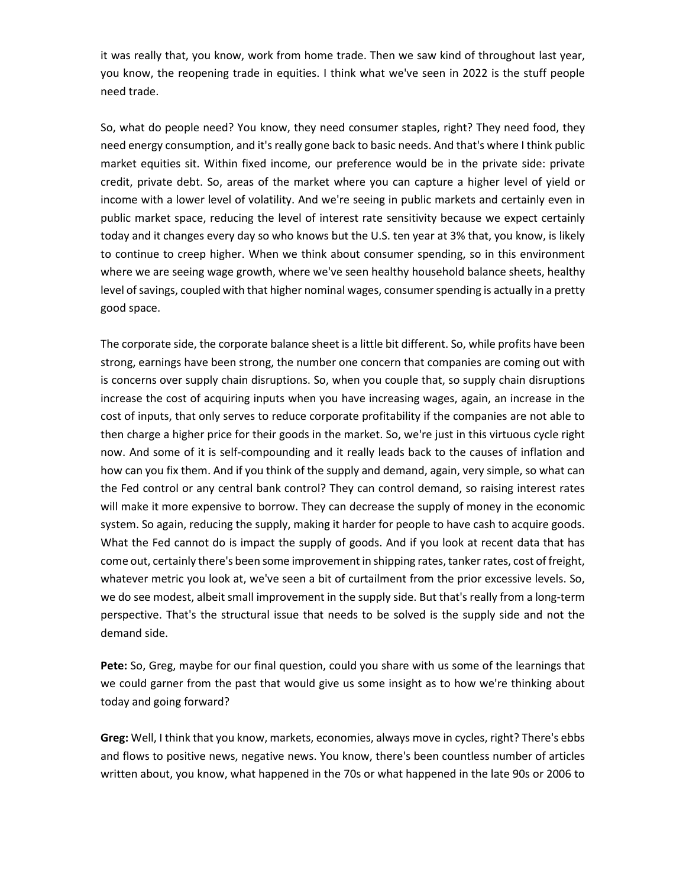it was really that, you know, work from home trade. Then we saw kind of throughout last year, you know, the reopening trade in equities. I think what we've seen in 2022 is the stuff people need trade.

So, what do people need? You know, they need consumer staples, right? They need food, they need energy consumption, and it's really gone back to basic needs. And that's where I think public market equities sit. Within fixed income, our preference would be in the private side: private credit, private debt. So, areas of the market where you can capture a higher level of yield or income with a lower level of volatility. And we're seeing in public markets and certainly even in public market space, reducing the level of interest rate sensitivity because we expect certainly today and it changes every day so who knows but the U.S. ten year at 3% that, you know, is likely to continue to creep higher. When we think about consumer spending, so in this environment where we are seeing wage growth, where we've seen healthy household balance sheets, healthy level of savings, coupled with that higher nominal wages, consumer spending is actually in a pretty good space.

The corporate side, the corporate balance sheet is a little bit different. So, while profits have been strong, earnings have been strong, the number one concern that companies are coming out with is concerns over supply chain disruptions. So, when you couple that, so supply chain disruptions increase the cost of acquiring inputs when you have increasing wages, again, an increase in the cost of inputs, that only serves to reduce corporate profitability if the companies are not able to then charge a higher price for their goods in the market. So, we're just in this virtuous cycle right now. And some of it is self-compounding and it really leads back to the causes of inflation and how can you fix them. And if you think of the supply and demand, again, very simple, so what can the Fed control or any central bank control? They can control demand, so raising interest rates will make it more expensive to borrow. They can decrease the supply of money in the economic system. So again, reducing the supply, making it harder for people to have cash to acquire goods. What the Fed cannot do is impact the supply of goods. And if you look at recent data that has come out, certainly there's been some improvement in shipping rates, tanker rates, cost of freight, whatever metric you look at, we've seen a bit of curtailment from the prior excessive levels. So, we do see modest, albeit small improvement in the supply side. But that's really from a long-term perspective. That's the structural issue that needs to be solved is the supply side and not the demand side.

**Pete:** So, Greg, maybe for our final question, could you share with us some of the learnings that we could garner from the past that would give us some insight as to how we're thinking about today and going forward?

**Greg:** Well, I think that you know, markets, economies, always move in cycles, right? There's ebbs and flows to positive news, negative news. You know, there's been countless number of articles written about, you know, what happened in the 70s or what happened in the late 90s or 2006 to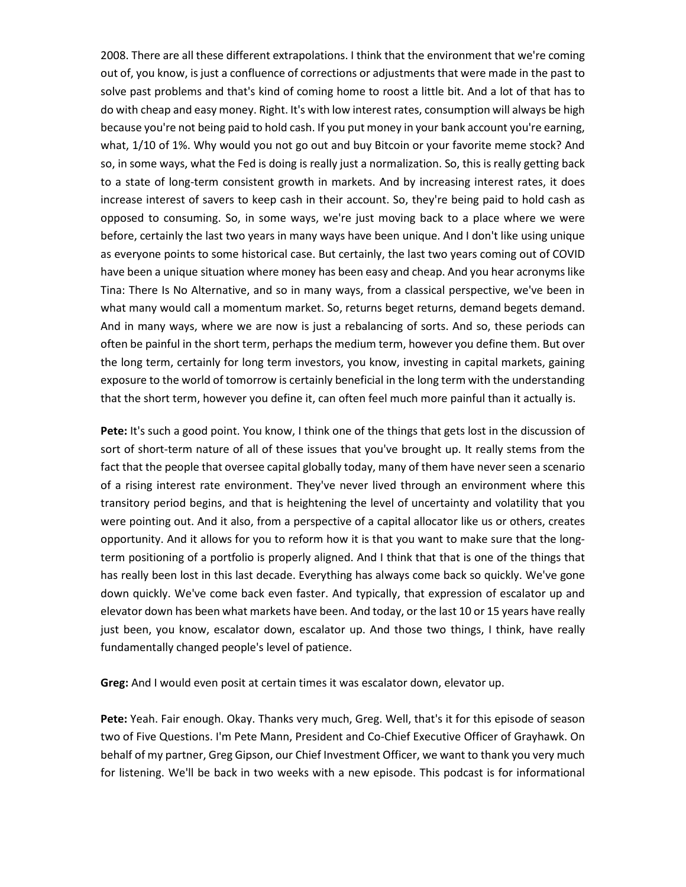2008. There are all these different extrapolations. I think that the environment that we're coming out of, you know, is just a confluence of corrections or adjustments that were made in the past to solve past problems and that's kind of coming home to roost a little bit. And a lot of that has to do with cheap and easy money. Right. It's with low interest rates, consumption will always be high because you're not being paid to hold cash. If you put money in your bank account you're earning, what, 1/10 of 1%. Why would you not go out and buy Bitcoin or your favorite meme stock? And so, in some ways, what the Fed is doing is really just a normalization. So, this is really getting back to a state of long-term consistent growth in markets. And by increasing interest rates, it does increase interest of savers to keep cash in their account. So, they're being paid to hold cash as opposed to consuming. So, in some ways, we're just moving back to a place where we were before, certainly the last two years in many ways have been unique. And I don't like using unique as everyone points to some historical case. But certainly, the last two years coming out of COVID have been a unique situation where money has been easy and cheap. And you hear acronyms like Tina: There Is No Alternative, and so in many ways, from a classical perspective, we've been in what many would call a momentum market. So, returns beget returns, demand begets demand. And in many ways, where we are now is just a rebalancing of sorts. And so, these periods can often be painful in the short term, perhaps the medium term, however you define them. But over the long term, certainly for long term investors, you know, investing in capital markets, gaining exposure to the world of tomorrow is certainly beneficial in the long term with the understanding that the short term, however you define it, can often feel much more painful than it actually is.

**Pete:** It's such a good point. You know, I think one of the things that gets lost in the discussion of sort of short-term nature of all of these issues that you've brought up. It really stems from the fact that the people that oversee capital globally today, many of them have never seen a scenario of a rising interest rate environment. They've never lived through an environment where this transitory period begins, and that is heightening the level of uncertainty and volatility that you were pointing out. And it also, from a perspective of a capital allocator like us or others, creates opportunity. And it allows for you to reform how it is that you want to make sure that the longterm positioning of a portfolio is properly aligned. And I think that that is one of the things that has really been lost in this last decade. Everything has always come back so quickly. We've gone down quickly. We've come back even faster. And typically, that expression of escalator up and elevator down has been what markets have been. And today, or the last 10 or 15 years have really just been, you know, escalator down, escalator up. And those two things, I think, have really fundamentally changed people's level of patience.

**Greg:** And I would even posit at certain times it was escalator down, elevator up.

**Pete:** Yeah. Fair enough. Okay. Thanks very much, Greg. Well, that's it for this episode of season two of Five Questions. I'm Pete Mann, President and Co-Chief Executive Officer of Grayhawk. On behalf of my partner, Greg Gipson, our Chief Investment Officer, we want to thank you very much for listening. We'll be back in two weeks with a new episode. This podcast is for informational